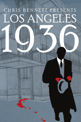# CHRIS BENNETT PRESENTS NGELE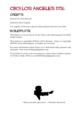### CB01 LOS ANGELES 1936

### **CREDITS**

Written by Chris Bennett

Edited by Steve Segedy

Los Angeles 1936 was a special release playset for Gen Con 2010.

### BOILERPLATE

This playset is an accessory for the Fiasco role-playing game by Bully Pulpit Games.

This playset is copyright 2009 by Chris Bennett. Fiasco is copyright 2009 by Jason Morningstar. All rights are reserved.

For more information about Fiasco or to download other playsets and materials, visit www.bullypulpitgames.com.

If you'd like to create your own playset or other Fiasco-related content, we'd like to help. Write us at info@bullypulpitgames.com.



"When you play, play *hard*." - Theodore Roosevelt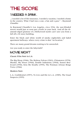### THE SCORE

### "I needed a drink...

...I needed a lot of life insurance, I needed a vacation, I needed a home in the country. What I had was a coat, a hat and a gun." – Raymond Chandler

In Raymond Chandler's Los Angeles, circa 1936, the sun-blinded streets would just as soon put a knife in your back. And all the diamond-edged glamour of a Hollywood starlet can't save you from a fall off a 30-story building.

Enter the black and white world of smoky nightclubs and faded apartment hallways, where every crime is shot "on location."

There are many grand dreams waiting to be unraveled.

Are you ready to enter the labyrinth?

#### MOVIE NIGHT

**Classic Film Noir in LA:**

The Big Sleep (1946), The Maltese Falcon (1941), Chinatown (1974), Murder, My Sweet (1944), Double Indemnity (1944), Sunset Boulevard (1950), Kiss Me Deadly (1955), The Postman Always Rings Twice (1946)

#### **Modern Noir:**

L.A. Confidential (1997), To Live and Die in L.A. (1985), The Usual Suspects (1995)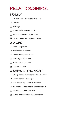## relationships...

### 1 FAMILY

- $\lceil \cdot \rceil$  In-law / son- or daughter-in-law
- $\Box$  Cousins
- $\overline{S}$  Siblings
- $\boxed{\therefore}$  Parent / child or stepchild
- $\mathbb{E}$  Estranged husband and wife
- $\boxed{ii}$  Aunt / uncle and nephew / niece

### 2 WORK

- $\cdot$  Boss / employee
- $\boxed{\cdot}$  Night shift workmates
- $\cdot$  Insurance agent / client
- $\boxed{\therefore}$  Working stiff / client
- $\mathbb{E}$  Salesman / customer
- **EE** Lawyer / client

### 3 SHIPS IN THE NIGHT

- $\lceil \cdot \rceil$  Cheap hoods wanting to settle the score
- $\Gamma$  Sports figure / manager
- $\overline{3}$  Old fraternity / sorority buddies
- $\boxed{\therefore}$  Nightclub owner / favorite entertainer
- 5 Veterans of the Great War
- **11** Office workers with a shared secret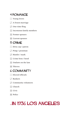### 4 ROMANCE

- $\lceil \cdot \rceil$  Young lovers
- $\lceil \cdot \rceil$  A frozen marriage
- $\overline{3}$  One-time fling
- $\boxed{\therefore}$  Incestuous family members
- $\mathbb{E}$  Former spouses
- **1** Current spouses

#### 5 CRIME

- $\lceil \cdot \rceil$  Dirty cop / patron
- $\boxed{\cdot}$  Pimp / prostitute
- $\overline{S}$  Hustler / mark
- **1**: Crime boss / hood
- $\mathbb{E}$  Outlaws on the lam
- **1**: Thieves

#### 6 COMMUNITY

- $\lceil \cdot \rceil$  Elected officials
- **D** Bankers
- $\boxed{\cdot}$  Community volunteers
- $\Xi$  Church
- $\mathbb{E}$  Civic
- **1** Police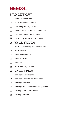### NEEDS...

### 1 TO GET OUT

- $\lceil \cdot \rceil$  ... of town this week
- $\boxed{\cdot}$  ... from under their thumb
- $\overline{S}$  ... of some gambling debts
- $\boxed{::}$  ... before someone finds out about you
- $\mathbb{E}$  ... of a relationship with a lover
- **11** ... of an obligation you cannot keep

### 2 TO GET EVEN

- $\lceil \cdot \rceil$  ... with the lousy cop who burned you
- $\cdot$  … with your ex
- $\overline{S}$  ... with your old boss
- $\boxed{::}$  ... with the Man
- $\boxed{::}$  ... with a rival
- **11** ... with a family member

### 3 TO GET RICH

- $\lceil \cdot \rceil$  ... through political graft
- $\Gamma$  ... through a sure thing at the track
- $\overline{S}$  ... through blackmail
- $\boxed{::}$  ... through the theft of something valuable
- $\boxed{5}$  ... through an insurance claim
- **1** ... through murder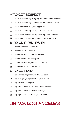### 4 TO GET RESPECT

- $\lceil \cdot \rceil$  ... from this town, by bringing down the establishment
- $\lceil \cdot \rceil$  ... from this town, by showing everybody who's boss
- $\ddot{\cdot}$  ... from your lover, by proving yourself
- $\boxed{\therefore}$  ... from the police, by ratting our your friends
- $\mathbb{E}$  ... from a family member, by rescuing them from ruin
- **11** ... from yourself, by finally doing it once and for all

#### 5 TO GET THE TRUTH

- $\lceil \cdot \rceil$  ... about someone's infidelity
- $\cdot$   $\cdot$   $\cdot$  about your real parents
- $\ddot{\cdot}$  ... about the mistake that haunts you
- $\boxed{\therefore}$  ... about this town's dirty past
- $\mathbb{E}$  ... about this town's political corruption
- **1** ... about someone's criminal past

#### 6 TO GET LAID

- $\lceil \cdot \rceil$  ... by anyone, anywhere, to dull the pain
- $\Gamma$  ... by that girl/guy you've had your eye on
- $\ddot{\cdot}$  ... by an exotic foreigner
- $\boxed{1}$  ... by an old lover, rekindling an old romance
- $\mathbb{E}$  ... by an old lover, to further your agenda
- $\boxed{ii}$  ... by a prostitute, to prove you are a man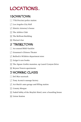### LOCATIONS...

### 1 DOWNTOWN

- $\lceil \cdot \rceil$  77th Precinct police station
- 2 Los Angeles City Hall
- 3 District Attorney's house
- $\Box$  The Athlete Club
- $\boxed{5}$  The Belfront Building
- **Florian's bar**

#### 2 TINSELTOWN

- $\lceil \cdot \rceil$  An unused RKO backlot
- **1.** Grauman's Chinese Theater
- **3** Bullock's Wilshire department store
- **::** Geiger's rare books
- **F.** The Jigsaw Gothic mansion, up Laurel Canyon Drive
- **11 Bryson Towers apartments**

### 3 WORKING CLASS

- $\lceil \cdot \rceil$  Del Mar racetrack
- Tony Acosta's sausage factory
- $\mathbf{3}$  Art Huck's auto garage and filling station
- $\boxed{\therefore}$  County Morgue
- $\mathbb{E}$  Faded lobby of the Mayfair Hotel, now a boarding house
- **1** Union Station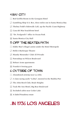### 4 BAY CITY

- $\lceil \cdot \rceil$  Red Griffin Room in the Georgian Hotel
- 2 Gambling Ship S.S. Rex, three miles out in Santa Monica Bay
- $\overline{3}$  Thelma Todd's Sidewalk Café, up the Pacific Coast Highway
- $\mathbb{R}$  Casa del Mar beachfront hotel
- 5 "Dr. Feelgood's" office in Ocean Park
- **13 Santa Monica City Hall**

### 5 OFF THE BEATEN PATH

- $\lceil \cdot \rceil$  Eddie Mar's illegal casino under the Hotel Metropole
- 2 Holly's Burlesque Theatre
- 3 Mandy Menendez' Club: El Privado
- **1.** Pawnshop on Wilcox Boulevard
- $\mathbb{E}$  Hobart Arms apartments
- **Frankie's boxing gym**

#### 6 OUTSIDE OF TOWN

- $\lceil \cdot \rceil$  Abandoned airstrip near La Jolla
- $\cdot$  J-class racing yacht "Lolita", moored in the Malibu Pier
- $\overline{3}$  The John Reed Club, Boyle Heights
- **1.** Tuck-Me-Inn Motel, Big Bear Boulevard
- 5 Secluded cabin near Cedar Lake
- **1** A faded Pasadena estate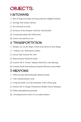### OBJECTS...

### 1 UNTOWARD

- $\lceil \cdot \rceil$  Box of stag reel loops starring someone slightly famous
- $\Gamma$  Syringe full of pure heroin
- $\overline{S}$  Set of break-in tools
- $\boxed{\therefore}$  Pictures of the Senator with his "boyfriends"
- $\mathbb{E}$  Counterfeit plates for \$100 notes
- **1** Jewel-encrusted sex toy

### 2 TRANSPORTATION

- $\cdot$  Sleeper car on the Super Chief train down to San Diego
- $\Gamma$  "Yellow Car" downtown trolley
- $\Gamma$  Green Top Taxicab No. 469
- **1. Battered grey Packard sedan**
- 5 Curtiss JN-4 "Jenny" biplane fitted for crop-dusting
- **11 Custom-built Duesenberg Torpedo Phaeton convertible**

#### 3 WEAPONS

- $\lceil \cdot \rceil$  1896 German Broomhandle Mauser pistol
- $\Gamma$  Vial of hydrochloric acid
- $\ddot{\cdot}$  Long-barreled .22 Colt automatic with a bone grip
- $\therefore$  Sawed-off 12-Gauge Winchester double-barrel shotgun
- $\mathbb{E}$  White phosphorous grenade
- **138** snubnosed revolver in an ankle holster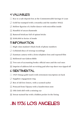### 4 VALUABLES

- $\lceil \cdot \rceil$  Key to a safe deposit box at the Commonwealth Savings & Loan
- $\Gamma$  Gold bar stamped with a swastika and the number 30422
- $\overline{3}$  Hollow figurine of a ballet dancer with microfilm inside
- $\boxed{\therefore}$  Handful of uncut diamonds
- $\mathbb{E}$  Battered briefcase full of opium bricks
- $\mathbb{F}$  \$100,000 in Series A bonds

### 5 INFORMATION

- $\cdot$  High-class madam's black book of phone numbers
- $\Gamma$  Celluloid discs of wiretap recordings
- $\cdot$  Eastman camera with a Zeiss telephoto lens and exposed film
- **12 Hollowed-out Gideon Bible**
- $\mathbb{E}$  Two sets of accounting books: official ones and the real ones
- **FET Imprint of address left on writing pad after top sheet was ripped off**

### 6 SENTIMENTAL

- $\lceil \cdot \rceil$  1925 Omega gold watch with retirement inscription on back
- $\Gamma$  Sapphire engagement ring
- $\ddot{\cdot}$  Box of old love letters, with a scented sachet
- $\boxed{\therefore}$  Postcard from Tijuana with a handwritten note
- $\mathbb{E}$  Old cloth doll with a missing eye
- **FI** Sweat-stained hat with a hidden pocket In the lining